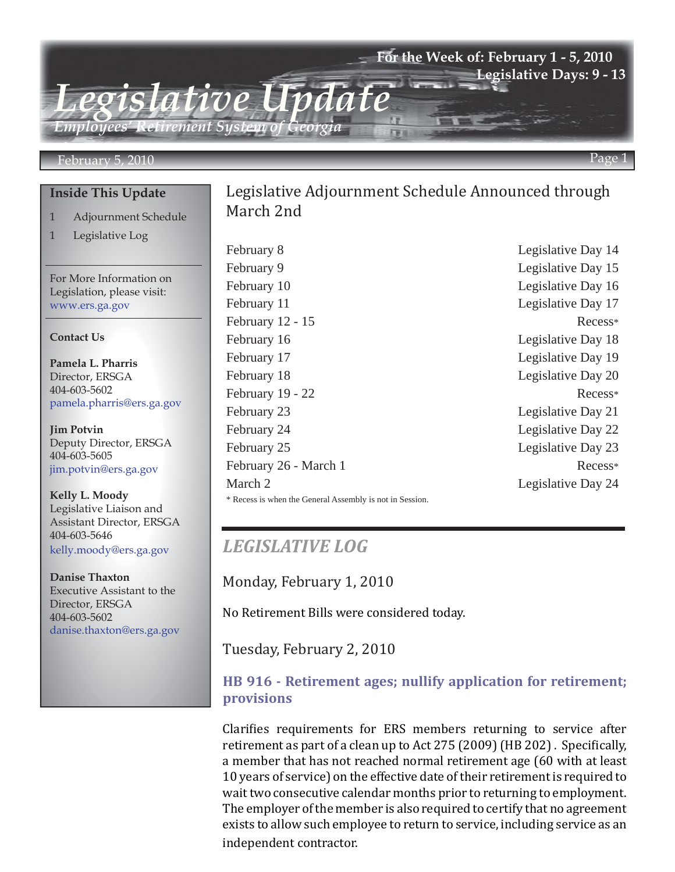#### **For the Week of: February 1 - 5, 2010 Legislative Days: 9 - 13**

*Legislative Update Employees' Retirement System of Georgia*

#### February 5, 2010

#### **Inside This Update**

- 1 Adjournment Schedule
- 1 Legislative Log

For More Information on Legislation, please visit: www.ers.ga.gov

#### **Contact Us**

**Pamela L. Pharris** Director, ERSGA 404-603-5602 pamela.pharris@ers.ga.gov

**Jim Potvin** Deputy Director, ERSGA 404-603-5605 jim.potvin@ers.ga.gov

**Kelly L. Moody** Legislative Liaison and Assistant Director, ERSGA 404-603-5646 kelly.moody@ers.ga.gov

**Danise Thaxton** Executive Assistant to the Director, ERSGA 404-603-5602 danise.thaxton@ers.ga.gov

# Legislative Adjournment Schedule Announced through March 2nd

February 8 Legislative Day 14 February 9 Legislative Day 15 February 10 Legislative Day 16 February 11 Legislative Day 17 February 12 - 15 Recess\* February 16 Legislative Day 18 February 17 Legislative Day 19 February 18 Legislative Day 20 February 19 - 22 Recess\* February 23 Legislative Day 21 February 24 Legislative Day 22 February 25 Legislative Day 23 February 26 - March 1 Recess\* March 2 Legislative Day 24 \* Recess is when the General Assembly is not in Session.

# *LEGISLATIVE LOG*

Monday, February 1, 2010

No Retirement Bills were considered today.

Tuesday, February 2, 2010

## **[HB 916 - Retirement ages; nullify application for retirement;](http://www.legis.ga.gov/legis/2009_10/sum/hb916.htm)  provisions**

Clarifies requirements for ERS members returning to service after retirement as part of a clean up to Act 275 (2009) (HB 202) . Specifically, a member that has not reached normal retirement age (60 with at least 10 years of service) on the effective date of their retirement is required to wait two consecutive calendar months prior to returning to employment. The employer of the member is also required to certify that no agreement exists to allow such employee to return to service, including service as an independent contractor.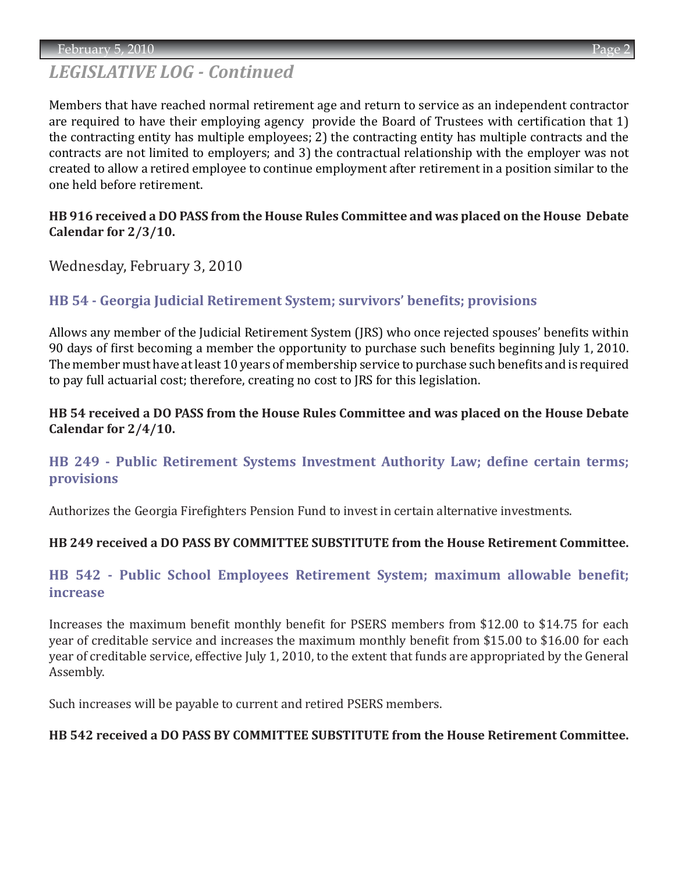Members that have reached normal retirement age and return to service as an independent contractor are required to have their employing agency provide the Board of Trustees with certification that 1) the contracting entity has multiple employees; 2) the contracting entity has multiple contracts and the contracts are not limited to employers; and 3) the contractual relationship with the employer was not created to allow a retired employee to continue employment after retirement in a position similar to the one held before retirement.

#### **HB 916 received a DO PASS from the House Rules Committee and was placed on the House Debate Calendar for 2/3/10.**

Wednesday, February 3, 2010

## **[HB 54 - Georgia Judicial Retirement System; survivors' benefits; provisions](http://www.legis.ga.gov/legis/2009_10/sum/hb54.htm)**

Allows any member of the Judicial Retirement System (JRS) who once rejected spouses' benefits within 90 days of first becoming a member the opportunity to purchase such benefits beginning July 1, 2010. The member must have at least 10 years of membership service to purchase such benefits and is required to pay full actuarial cost; therefore, creating no cost to JRS for this legislation.

#### **HB 54 received a DO PASS from the House Rules Committee and was placed on the House Debate Calendar for 2/4/10.**

## **[HB 249 - Public Retirement Systems Investment Authority Law; define certain terms;](http://www.legis.ga.gov/legis/2009_10/sum/hb249.htm)  provisions**

Authorizes the Georgia Firefighters Pension Fund to invest in certain alternative investments.

#### **HB 249 received a DO PASS BY COMMITTEE SUBSTITUTE from the House Retirement Committee.**

### **[HB 542 - Public School Employees Retirement System; maximum allowable benefit;](http://www.legis.ga.gov/legis/2009_10/sum/hb542.htm)  increase**

Increases the maximum benefit monthly benefit for PSERS members from \$12.00 to \$14.75 for each year of creditable service and increases the maximum monthly benefit from \$15.00 to \$16.00 for each year of creditable service, effective July 1, 2010, to the extent that funds are appropriated by the General Assembly.

Such increases will be payable to current and retired PSERS members.

#### **HB 542 received a DO PASS BY COMMITTEE SUBSTITUTE from the House Retirement Committee.**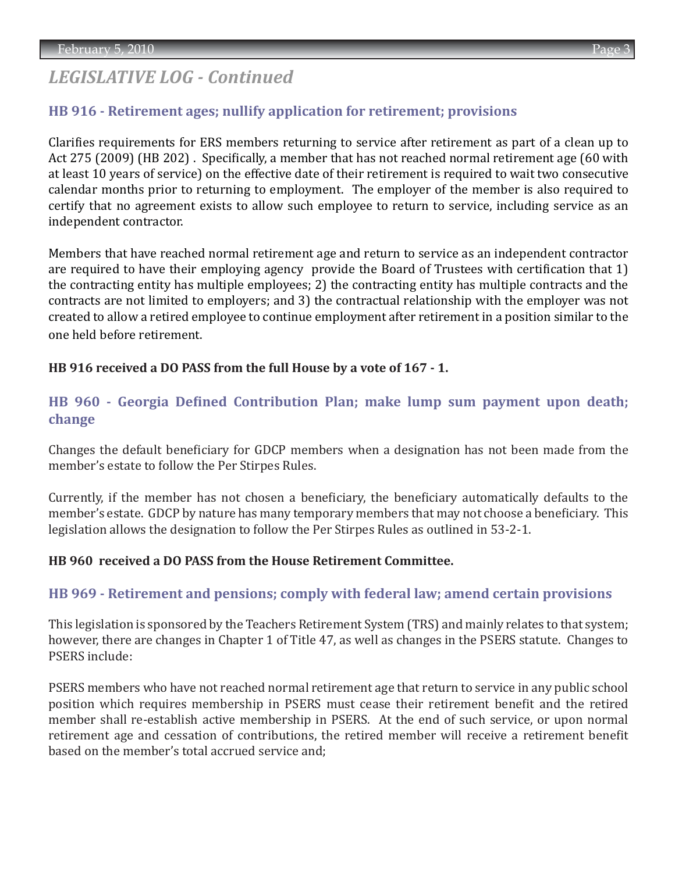# **[HB 916 - Retirement ages; nullify application for retirement; provisions](http://www.legis.ga.gov/legis/2009_10/sum/hb916.htm)**

Clarifies requirements for ERS members returning to service after retirement as part of a clean up to Act 275 (2009) (HB 202) . Specifically, a member that has not reached normal retirement age (60 with at least 10 years of service) on the effective date of their retirement is required to wait two consecutive calendar months prior to returning to employment. The employer of the member is also required to certify that no agreement exists to allow such employee to return to service, including service as an independent contractor.

Members that have reached normal retirement age and return to service as an independent contractor are required to have their employing agency provide the Board of Trustees with certification that 1) the contracting entity has multiple employees; 2) the contracting entity has multiple contracts and the contracts are not limited to employers; and 3) the contractual relationship with the employer was not created to allow a retired employee to continue employment after retirement in a position similar to the one held before retirement.

#### **HB 916 received a DO PASS from the full House by a vote of 167 - 1.**

# **[HB 960 - Georgia Defined Contribution Plan; make lump sum payment upon death;](http://www.legis.ga.gov/legis/2009_10/sum/hb960.htm) change**

Changes the default beneficiary for GDCP members when a designation has not been made from the member's estate to follow the Per Stirpes Rules.

Currently, if the member has not chosen a beneficiary, the beneficiary automatically defaults to the member's estate. GDCP by nature has many temporary members that may not choose a beneficiary. This legislation allows the designation to follow the Per Stirpes Rules as outlined in 53-2-1.

#### **HB 960 received a DO PASS from the House Retirement Committee.**

#### **[HB 969 - Retirement and pensions; comply with federal law; amend certain provisions](http://www.legis.ga.gov/legis/2009_10/sum/hb969.htm)**

This legislation is sponsored by the Teachers Retirement System (TRS) and mainly relates to that system; however, there are changes in Chapter 1 of Title 47, as well as changes in the PSERS statute. Changes to PSERS include:

PSERS members who have not reached normal retirement age that return to service in any public school position which requires membership in PSERS must cease their retirement benefit and the retired member shall re-establish active membership in PSERS. At the end of such service, or upon normal retirement age and cessation of contributions, the retired member will receive a retirement benefit based on the member's total accrued service and;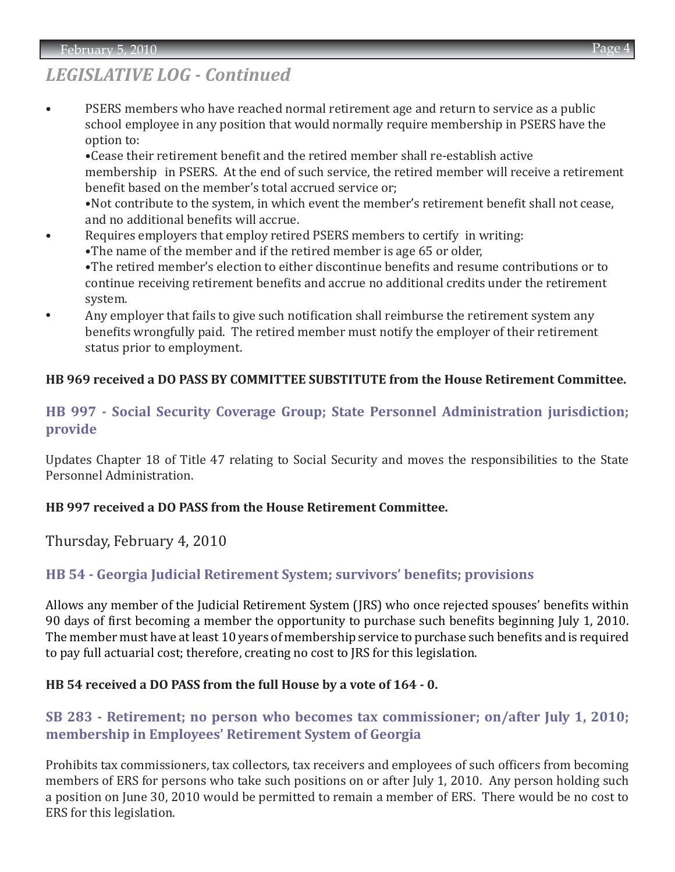• PSERS members who have reached normal retirement age and return to service as a public school employee in any position that would normally require membership in PSERS have the option to:

 •Cease their retirement benefit and the retired member shall re-establish active membership in PSERS. At the end of such service, the retired member will receive a retirement benefit based on the member's total accrued service or;

 •Not contribute to the system, in which event the member's retirement benefit shall not cease, and no additional benefits will accrue.

- Requires employers that employ retired PSERS members to certify in writing:
	- •The name of the member and if the retired member is age 65 or older,

 •The retired member's election to either discontinue benefits and resume contributions or to continue receiving retirement benefits and accrue no additional credits under the retirement system.

**•** Any employer that fails to give such notification shall reimburse the retirement system any benefits wrongfully paid. The retired member must notify the employer of their retirement status prior to employment.

#### **HB 969 received a DO PASS BY COMMITTEE SUBSTITUTE from the House Retirement Committee.**

#### **[HB 997 - Social Security Coverage Group; State Personnel Administration jurisdiction;](http://www.legis.ga.gov/legis/2009_10/sum/hb997.htm)  provide**

Updates Chapter 18 of Title 47 relating to Social Security and moves the responsibilities to the State Personnel Administration.

#### **HB 997 received a DO PASS from the House Retirement Committee.**

Thursday, February 4, 2010

## **[HB 54 - Georgia Judicial Retirement System; survivors' benefits; provisions](http://www.legis.ga.gov/legis/2009_10/sum/hb54.htm)**

Allows any member of the Judicial Retirement System (JRS) who once rejected spouses' benefits within 90 days of first becoming a member the opportunity to purchase such benefits beginning July 1, 2010. The member must have at least 10 years of membership service to purchase such benefits and is required to pay full actuarial cost; therefore, creating no cost to JRS for this legislation.

#### **HB 54 received a DO PASS from the full House by a vote of 164 - 0.**

## **[SB 283 - Retirement; no person who becomes tax commissioner; on/after July 1, 2010;](http://www.legis.ga.gov/legis/2009_10/sum/sb283.htm)  membership in Employees' Retirement System of Georgia**

Prohibits tax commissioners, tax collectors, tax receivers and employees of such officers from becoming members of ERS for persons who take such positions on or after July 1, 2010. Any person holding such a position on June 30, 2010 would be permitted to remain a member of ERS. There would be no cost to ERS for this legislation.